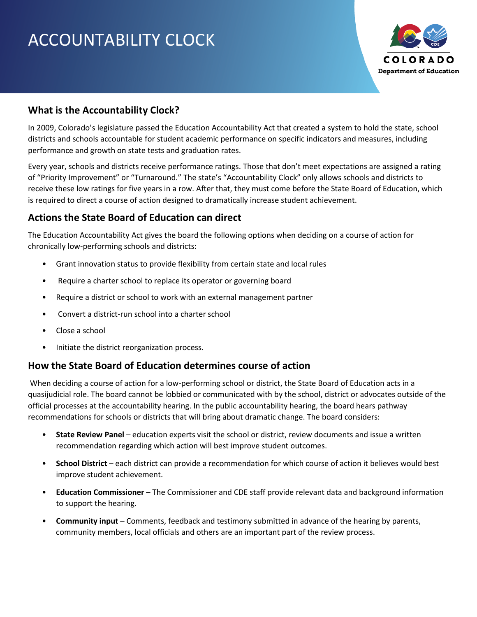# ACCOUNTABILITY CLOCK



## **What is the Accountability Clock?**

In 2009, Colorado's legislature passed the Education Accountability Act that created a system to hold the state, school districts and schools accountable for student academic performance on specific indicators and measures, including performance and growth on state tests and graduation rates.

Every year, schools and districts receive performance ratings. Those that don't meet expectations are assigned a rating of "Priority Improvement" or "Turnaround." The state's "Accountability Clock" only allows schools and districts to receive these low ratings for five years in a row. After that, they must come before the State Board of Education, which is required to direct a course of action designed to dramatically increase student achievement.

## **Actions the State Board of Education can direct**

The Education Accountability Act gives the board the following options when deciding on a course of action for chronically low-performing schools and districts:

- Grant innovation status to provide flexibility from certain state and local rules
- Require a charter school to replace its operator or governing board
- Require a district or school to work with an external management partner
- Convert a district-run school into a charter school
- Close a school
- Initiate the district reorganization process.

### **How the State Board of Education determines course of action**

When deciding a course of action for a low-performing school or district, the State Board of Education acts in a quasijudicial role. The board cannot be lobbied or communicated with by the school, district or advocates outside of the official processes at the accountability hearing. In the public accountability hearing, the board hears pathway recommendations for schools or districts that will bring about dramatic change. The board considers:

- **State Review Panel** education experts visit the school or district, review documents and issue a written recommendation regarding which action will best improve student outcomes.
- **School District** each district can provide a recommendation for which course of action it believes would best improve student achievement.
- **Education Commissioner** The Commissioner and CDE staff provide relevant data and background information to support the hearing.
- **Community input** Comments, feedback and testimony submitted in advance of the hearing by parents, community members, local officials and others are an important part of the review process.